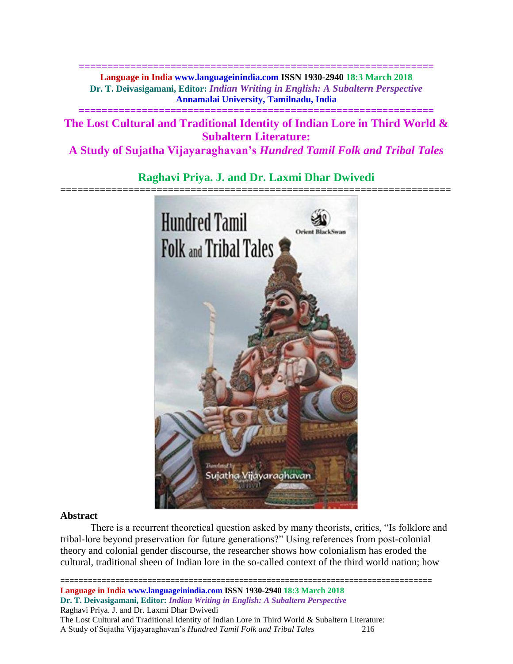**============================================================== Language in India www.languageinindia.com ISSN 1930-2940 18:3 March 2018 Dr. T. Deivasigamani, Editor:** *Indian Writing in English: A Subaltern Perspective* **Annamalai University, Tamilnadu, India**

**The Lost Cultural and Traditional Identity of Indian Lore in Third World & Subaltern Literature:**

**==============================================================**

**A Study of Sujatha Vijayaraghavan's** *Hundred Tamil Folk and Tribal Tales*

# **Raghavi Priya. J. and Dr. Laxmi Dhar Dwivedi**



## **Abstract**

There is a recurrent theoretical question asked by many theorists, critics, "Is folklore and tribal-lore beyond preservation for future generations?" Using references from post-colonial theory and colonial gender discourse, the researcher shows how colonialism has eroded the cultural, traditional sheen of Indian lore in the so-called context of the third world nation; how

================================================================================= **Language in India www.languageinindia.com ISSN 1930-2940 18:3 March 2018 Dr. T. Deivasigamani, Editor:** *Indian Writing in English: A Subaltern Perspective* Raghavi Priya. J. and Dr. Laxmi Dhar Dwivedi The Lost Cultural and Traditional Identity of Indian Lore in Third World & Subaltern Literature: A Study of Sujatha Vijayaraghavan's *Hundred Tamil Folk and Tribal Tales* 216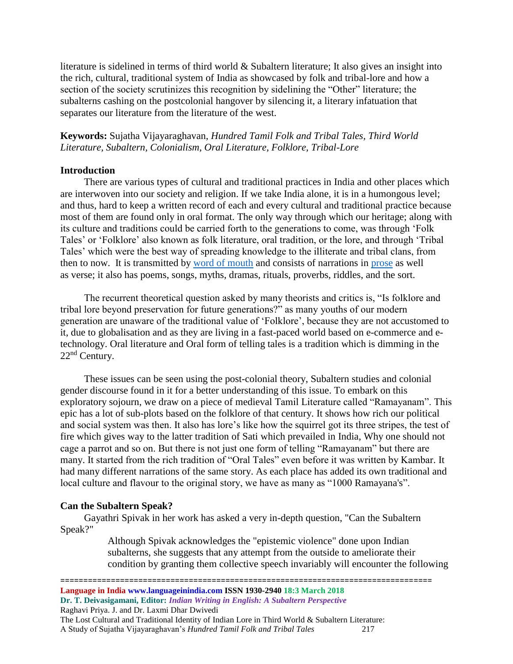literature is sidelined in terms of third world & Subaltern literature; It also gives an insight into the rich, cultural, traditional system of India as showcased by folk and tribal-lore and how a section of the society scrutinizes this recognition by sidelining the "Other" literature; the subalterns cashing on the postcolonial hangover by silencing it, a literary infatuation that separates our literature from the literature of the west.

# **Keywords:** Sujatha Vijayaraghavan, *Hundred Tamil Folk and Tribal Tales, Third World Literature, Subaltern, Colonialism, Oral Literature, Folklore, Tribal-Lore*

## **Introduction**

There are various types of cultural and traditional practices in India and other places which are interwoven into our society and religion. If we take India alone, it is in a humongous level; and thus, hard to keep a written record of each and every cultural and traditional practice because most of them are found only in oral format. The only way through which our heritage; along with its culture and traditions could be carried forth to the generations to come, was through 'Folk Tales' or 'Folklore' also known as folk literature, oral tradition, or the lore, and through 'Tribal Tales' which were the best way of spreading knowledge to the illiterate and tribal clans, from then to now. It is transmitted by [word of mouth](http://www.britannica.com/EBchecked/topic/430772/oral-literature) and consists of narrations in [prose](http://www.britannica.com/EBchecked/topic/688075/prose) as well as verse; it also has poems, songs, myths, dramas, rituals, proverbs, riddles, and the sort.

The recurrent theoretical question asked by many theorists and critics is, "Is folklore and tribal lore beyond preservation for future generations?" as many youths of our modern generation are unaware of the traditional value of 'Folklore', because they are not accustomed to it, due to globalisation and as they are living in a fast-paced world based on e-commerce and etechnology. Oral literature and Oral form of telling tales is a tradition which is dimming in the 22nd Century.

These issues can be seen using the post-colonial theory, Subaltern studies and colonial gender discourse found in it for a better understanding of this issue. To embark on this exploratory sojourn, we draw on a piece of medieval Tamil Literature called "Ramayanam". This epic has a lot of sub-plots based on the folklore of that century. It shows how rich our political and social system was then. It also has lore's like how the squirrel got its three stripes, the test of fire which gives way to the latter tradition of Sati which prevailed in India, Why one should not cage a parrot and so on. But there is not just one form of telling "Ramayanam" but there are many. It started from the rich tradition of "Oral Tales" even before it was written by Kambar. It had many different narrations of the same story. As each place has added its own traditional and local culture and flavour to the original story, we have as many as "1000 Ramayana's".

## **Can the Subaltern Speak?**

Gayathri Spivak in her work has asked a very in-depth question, "Can the Subaltern Speak?"

> Although Spivak acknowledges the "epistemic violence" done upon Indian subalterns, she suggests that any attempt from the outside to ameliorate their condition by granting them collective speech invariably will encounter the following

=================================================================================

**Language in India www.languageinindia.com ISSN 1930-2940 18:3 March 2018 Dr. T. Deivasigamani, Editor:** *Indian Writing in English: A Subaltern Perspective*

Raghavi Priya. J. and Dr. Laxmi Dhar Dwivedi

The Lost Cultural and Traditional Identity of Indian Lore in Third World & Subaltern Literature: A Study of Sujatha Vijayaraghavan's *Hundred Tamil Folk and Tribal Tales* 217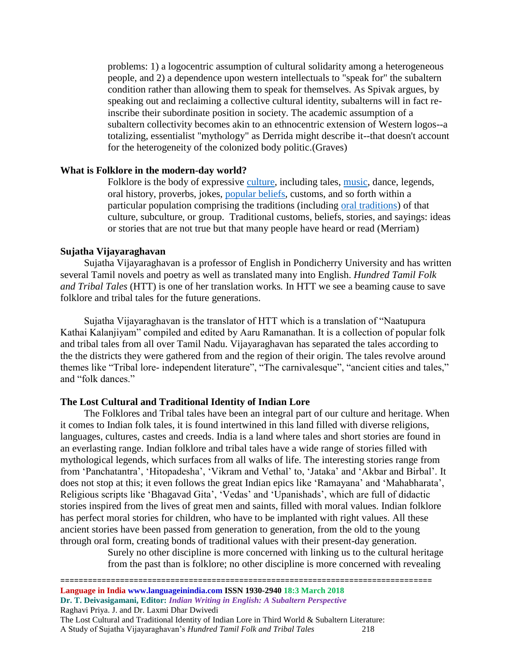problems: 1) a logocentric assumption of cultural solidarity among a heterogeneous people, and 2) a dependence upon western intellectuals to "speak for" the subaltern condition rather than allowing them to speak for themselves. As Spivak argues, by speaking out and reclaiming a collective cultural identity, subalterns will in fact reinscribe their subordinate position in society. The academic assumption of a subaltern collectivity becomes akin to an ethnocentric extension of Western logos--a totalizing, essentialist "mythology" as Derrida might describe it--that doesn't account for the heterogeneity of the colonized body politic.(Graves)

#### **What is Folklore in the modern-day world?**

Folklore is the body of expressive [culture,](http://www.newworldencyclopedia.org/entry/Culture) including tales, [music,](http://www.newworldencyclopedia.org/entry/Music) dance, legends, oral history, proverbs, jokes, [popular beliefs,](http://www.newworldencyclopedia.org/entry/Superstition) customs, and so forth within a particular population comprising the traditions (including [oral traditions\)](http://www.newworldencyclopedia.org/entry/Oral_tradition) of that culture, subculture, or group. Traditional customs, beliefs, stories, and sayings: ideas or stories that are not true but that many people have heard or read (Merriam)

#### **Sujatha Vijayaraghavan**

Sujatha Vijayaraghavan is a professor of English in Pondicherry University and has written several Tamil novels and poetry as well as translated many into English. *Hundred Tamil Folk and Tribal Tales* (HTT) is one of her translation works*.* In HTT we see a beaming cause to save folklore and tribal tales for the future generations.

Sujatha Vijayaraghavan is the translator of HTT which is a translation of "Naatupura Kathai Kalanjiyam" compiled and edited by Aaru Ramanathan. It is a collection of popular folk and tribal tales from all over Tamil Nadu. Vijayaraghavan has separated the tales according to the the districts they were gathered from and the region of their origin. The tales revolve around themes like "Tribal lore- independent literature", "The carnivalesque", "ancient cities and tales," and "folk dances."

#### **The Lost Cultural and Traditional Identity of Indian Lore**

The Folklores and Tribal tales have been an integral part of our culture and heritage. When it comes to Indian folk tales, it is found intertwined in this land filled with diverse religions, languages, cultures, castes and creeds. India is a land where tales and short stories are found in an everlasting range. Indian folklore and tribal tales have a wide range of stories filled with mythological legends, which surfaces from all walks of life. The interesting stories range from from 'Panchatantra', 'Hitopadesha', 'Vikram and Vethal' to, 'Jataka' and 'Akbar and Birbal'. It does not stop at this; it even follows the great Indian epics like 'Ramayana' and 'Mahabharata', Religious scripts like 'Bhagavad Gita', 'Vedas' and 'Upanishads', which are full of didactic stories inspired from the lives of great men and saints, filled with moral values. Indian folklore has perfect moral stories for children, who have to be implanted with right values. All these ancient stories have been passed from generation to generation, from the old to the young through oral form, creating bonds of traditional values with their present-day generation.

> Surely no other discipline is more concerned with linking us to the cultural heritage from the past than is folklore; no other discipline is more concerned with revealing

================================================================================= **Language in India www.languageinindia.com ISSN 1930-2940 18:3 March 2018** 

**Dr. T. Deivasigamani, Editor:** *Indian Writing in English: A Subaltern Perspective*

Raghavi Priya. J. and Dr. Laxmi Dhar Dwivedi

The Lost Cultural and Traditional Identity of Indian Lore in Third World & Subaltern Literature: A Study of Sujatha Vijayaraghavan's *Hundred Tamil Folk and Tribal Tales* 218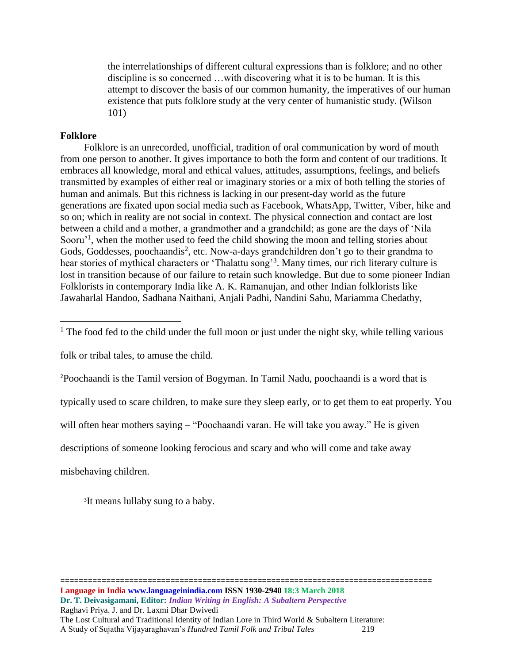the interrelationships of different cultural expressions than is folklore; and no other discipline is so concerned …with discovering what it is to be human. It is this attempt to discover the basis of our common humanity, the imperatives of our human existence that puts folklore study at the very center of humanistic study. (Wilson 101)

## **Folklore**

 $\overline{\phantom{a}}$ 

Folklore is an unrecorded, unofficial, tradition of oral communication by word of mouth from one person to another. It gives importance to both the form and content of our traditions. It embraces all knowledge, moral and ethical values, attitudes, assumptions, feelings, and beliefs transmitted by examples of either real or imaginary stories or a mix of both telling the stories of human and animals. But this richness is lacking in our present-day world as the future generations are fixated upon social media such as Facebook, WhatsApp, Twitter, Viber, hike and so on; which in reality are not social in context. The physical connection and contact are lost between a child and a mother, a grandmother and a grandchild; as gone are the days of 'Nila Sooru<sup>'1</sup>, when the mother used to feed the child showing the moon and telling stories about Gods, Goddesses, poochaandis<sup>2</sup>, etc. Now-a-days grandchildren don't go to their grandma to hear stories of mythical characters or 'Thalattu song'<sup>3</sup>. Many times, our rich literary culture is lost in transition because of our failure to retain such knowledge. But due to some pioneer Indian Folklorists in contemporary India like A. K. Ramanujan, and other Indian folklorists like Jawaharlal Handoo, Sadhana Naithani, Anjali Padhi, Nandini Sahu, Mariamma Chedathy,

folk or tribal tales, to amuse the child.

<sup>2</sup>Poochaandi is the Tamil version of Bogyman. In Tamil Nadu, poochaandi is a word that is

typically used to scare children, to make sure they sleep early, or to get them to eat properly. You

=================================================================================

will often hear mothers saying – "Poochaandi varan. He will take you away." He is given

descriptions of someone looking ferocious and scary and who will come and take away

misbehaving children.

<sup>3</sup>It means lullaby sung to a baby.

<sup>&</sup>lt;sup>1</sup> The food fed to the child under the full moon or just under the night sky, while telling various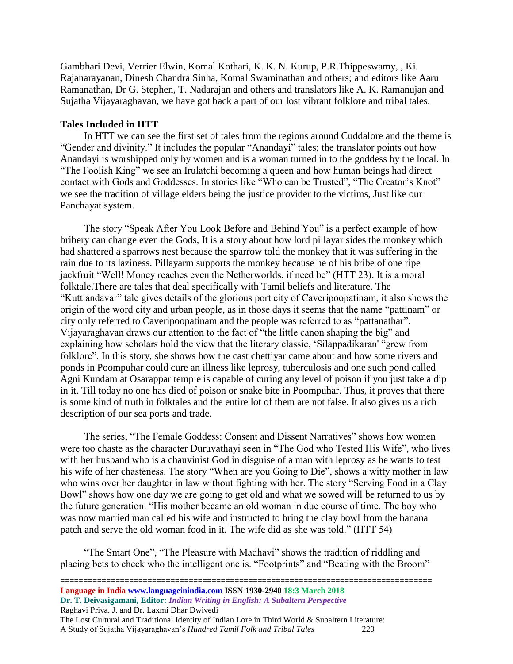Gambhari Devi, Verrier Elwin, Komal Kothari, K. K. N. Kurup, P.R.Thippeswamy, , Ki. Rajanarayanan, Dinesh Chandra Sinha, Komal Swaminathan and others; and editors like Aaru Ramanathan, Dr G. Stephen, T. Nadarajan and others and translators like A. K. Ramanujan and Sujatha Vijayaraghavan, we have got back a part of our lost vibrant folklore and tribal tales.

#### **Tales Included in HTT**

In HTT we can see the first set of tales from the regions around Cuddalore and the theme is "Gender and divinity." It includes the popular "Anandayi" tales; the translator points out how Anandayi is worshipped only by women and is a woman turned in to the goddess by the local. In "The Foolish King" we see an Irulatchi becoming a queen and how human beings had direct contact with Gods and Goddesses. In stories like "Who can be Trusted", "The Creator's Knot" we see the tradition of village elders being the justice provider to the victims, Just like our Panchayat system.

The story "Speak After You Look Before and Behind You" is a perfect example of how bribery can change even the Gods, It is a story about how lord pillayar sides the monkey which had shattered a sparrows nest because the sparrow told the monkey that it was suffering in the rain due to its laziness. Pillayarm supports the monkey because he of his bribe of one ripe jackfruit "Well! Money reaches even the Netherworlds, if need be" (HTT 23). It is a moral folktale.There are tales that deal specifically with Tamil beliefs and literature. The "Kuttiandavar" tale gives details of the glorious port city of Caveripoopatinam, it also shows the origin of the word city and urban people, as in those days it seems that the name "pattinam" or city only referred to Caveripoopatinam and the people was referred to as "pattanathar". Vijayaraghavan draws our attention to the fact of "the little canon shaping the big" and explaining how scholars hold the view that the literary classic, 'Silappadikaran' "grew from folklore". In this story, she shows how the cast chettiyar came about and how some rivers and ponds in Poompuhar could cure an illness like leprosy, tuberculosis and one such pond called Agni Kundam at Osarappar temple is capable of curing any level of poison if you just take a dip in it. Till today no one has died of poison or snake bite in Poompuhar. Thus, it proves that there is some kind of truth in folktales and the entire lot of them are not false. It also gives us a rich description of our sea ports and trade.

The series, "The Female Goddess: Consent and Dissent Narratives" shows how women were too chaste as the character Duruvathayi seen in "The God who Tested His Wife", who lives with her husband who is a chauvinist God in disguise of a man with leprosy as he wants to test his wife of her chasteness. The story "When are you Going to Die", shows a witty mother in law who wins over her daughter in law without fighting with her. The story "Serving Food in a Clay Bowl" shows how one day we are going to get old and what we sowed will be returned to us by the future generation. "His mother became an old woman in due course of time. The boy who was now married man called his wife and instructed to bring the clay bowl from the banana patch and serve the old woman food in it. The wife did as she was told." (HTT 54)

"The Smart One", "The Pleasure with Madhavi" shows the tradition of riddling and placing bets to check who the intelligent one is. "Footprints" and "Beating with the Broom"

================================================================================= **Language in India www.languageinindia.com ISSN 1930-2940 18:3 March 2018** 

**Dr. T. Deivasigamani, Editor:** *Indian Writing in English: A Subaltern Perspective*

Raghavi Priya. J. and Dr. Laxmi Dhar Dwivedi

The Lost Cultural and Traditional Identity of Indian Lore in Third World & Subaltern Literature: A Study of Sujatha Vijayaraghavan's *Hundred Tamil Folk and Tribal Tales* 220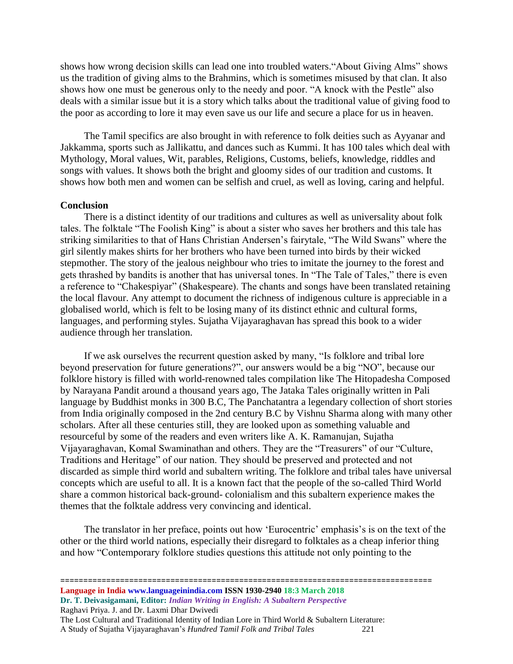shows how wrong decision skills can lead one into troubled waters."About Giving Alms" shows us the tradition of giving alms to the Brahmins, which is sometimes misused by that clan. It also shows how one must be generous only to the needy and poor. "A knock with the Pestle" also deals with a similar issue but it is a story which talks about the traditional value of giving food to the poor as according to lore it may even save us our life and secure a place for us in heaven.

The Tamil specifics are also brought in with reference to folk deities such as Ayyanar and Jakkamma, sports such as Jallikattu, and dances such as Kummi. It has 100 tales which deal with Mythology, Moral values, Wit, parables, Religions, Customs, beliefs, knowledge, riddles and songs with values. It shows both the bright and gloomy sides of our tradition and customs. It shows how both men and women can be selfish and cruel, as well as loving, caring and helpful.

#### **Conclusion**

There is a distinct identity of our traditions and cultures as well as universality about folk tales. The folktale "The Foolish King" is about a sister who saves her brothers and this tale has striking similarities to that of Hans Christian Andersen's fairytale, "The Wild Swans" where the girl silently makes shirts for her brothers who have been turned into birds by their wicked stepmother. The story of the jealous neighbour who tries to imitate the journey to the forest and gets thrashed by bandits is another that has universal tones. In "The Tale of Tales," there is even a reference to "Chakespiyar" (Shakespeare). The chants and songs have been translated retaining the local flavour. Any attempt to document the richness of indigenous culture is appreciable in a globalised world, which is felt to be losing many of its distinct ethnic and cultural forms, languages, and performing styles. Sujatha Vijayaraghavan has spread this book to a wider audience through her translation.

If we ask ourselves the recurrent question asked by many, "Is folklore and tribal lore beyond preservation for future generations?", our answers would be a big "NO", because our folklore history is filled with world-renowned tales compilation like The Hitopadesha Composed by Narayana Pandit around a thousand years ago, The Jataka Tales originally written in Pali language by Buddhist monks in 300 B.C, The Panchatantra a legendary collection of short stories from India originally composed in the 2nd century B.C by Vishnu Sharma along with many other scholars. After all these centuries still, they are looked upon as something valuable and resourceful by some of the readers and even writers like A. K. Ramanujan, Sujatha Vijayaraghavan, Komal Swaminathan and others. They are the "Treasurers" of our "Culture, Traditions and Heritage" of our nation. They should be preserved and protected and not discarded as simple third world and subaltern writing. The folklore and tribal tales have universal concepts which are useful to all. It is a known fact that the people of the so-called Third World share a common historical back-ground- colonialism and this subaltern experience makes the themes that the folktale address very convincing and identical.

The translator in her preface, points out how 'Eurocentric' emphasis's is on the text of the other or the third world nations, especially their disregard to folktales as a cheap inferior thing and how "Contemporary folklore studies questions this attitude not only pointing to the

=================================================================================

**Language in India www.languageinindia.com ISSN 1930-2940 18:3 March 2018 Dr. T. Deivasigamani, Editor:** *Indian Writing in English: A Subaltern Perspective* Raghavi Priya. J. and Dr. Laxmi Dhar Dwivedi The Lost Cultural and Traditional Identity of Indian Lore in Third World & Subaltern Literature: A Study of Sujatha Vijayaraghavan's *Hundred Tamil Folk and Tribal Tales* 221